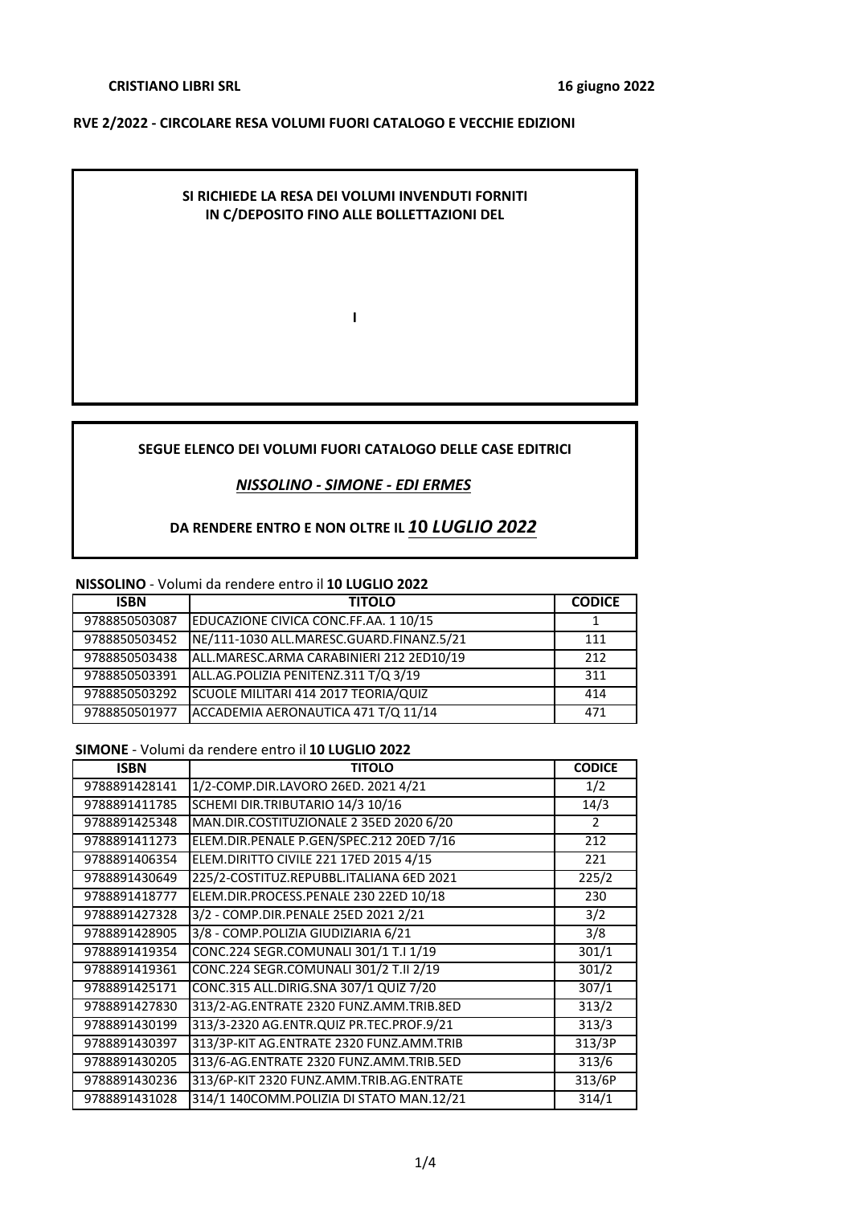### **CRISTIANO LIBRI SRL**

#### **RVE 2/2022 - CIRCOLARE RESA VOLUMI FUORI CATALOGO E VECCHIE EDIZIONI**

## **SI RICHIEDE LA RESA DEI VOLUMI INVENDUTI FORNITI IN C/DEPOSITO FINO ALLE BOLLETTAZIONI DEL**

**I**

### **SEGUE ELENCO DEI VOLUMI FUORI CATALOGO DELLE CASE EDITRICI**

#### *NISSOLINO - SIMONE - EDI ERMES*

## **DA RENDERE ENTRO E NON OLTRE IL** *1***0** *LUGLIO 2022*

#### **NISSOLINO** - Volumi da rendere entro il **10 LUGLIO 2022**

| <b>ISBN</b>   | <b>TITOLO</b>                            | <b>CODICE</b> |
|---------------|------------------------------------------|---------------|
| 9788850503087 | EDUCAZIONE CIVICA CONC.FF.AA. 1 10/15    |               |
| 9788850503452 | NE/111-1030 ALL.MARESC.GUARD.FINANZ.5/21 | 111           |
| 9788850503438 | ALL.MARESC.ARMA CARABINIERI 212 2ED10/19 | 212           |
| 9788850503391 | ALL.AG.POLIZIA PENITENZ.311 T/Q 3/19     | 311           |
| 9788850503292 | SCUOLE MILITARI 414 2017 TEORIA/QUIZ     | 414           |
| 9788850501977 | ACCADEMIA AERONAUTICA 471 T/Q 11/14      | 471           |

#### **SIMONE** - Volumi da rendere entro il **10 LUGLIO 2022**

| <b>ISBN</b>   | <b>TITOLO</b>                            | <b>CODICE</b> |
|---------------|------------------------------------------|---------------|
| 9788891428141 | 1/2-COMP.DIR.LAVORO 26ED. 2021 4/21      | 1/2           |
| 9788891411785 | SCHEMI DIR.TRIBUTARIO 14/3 10/16         | 14/3          |
| 9788891425348 | MAN.DIR.COSTITUZIONALE 2 35ED 2020 6/20  | 2             |
| 9788891411273 | ELEM.DIR.PENALE P.GEN/SPEC.212 20ED 7/16 | 212           |
| 9788891406354 | ELEM.DIRITTO CIVILE 221 17ED 2015 4/15   | 221           |
| 9788891430649 | 225/2-COSTITUZ.REPUBBL.ITALIANA 6ED 2021 | 225/2         |
| 9788891418777 | ELEM.DIR.PROCESS.PENALE 230 22ED 10/18   | 230           |
| 9788891427328 | 3/2 - COMP.DIR.PENALE 25ED 2021 2/21     | 3/2           |
| 9788891428905 | 3/8 - COMP.POLIZIA GIUDIZIARIA 6/21      | 3/8           |
| 9788891419354 | CONC.224 SEGR.COMUNALI 301/1 T.I 1/19    | 301/1         |
| 9788891419361 | CONC.224 SEGR.COMUNALI 301/2 T.II 2/19   | 301/2         |
| 9788891425171 | CONC.315 ALL.DIRIG.SNA 307/1 QUIZ 7/20   | 307/1         |
| 9788891427830 | 313/2-AG.ENTRATE 2320 FUNZ.AMM.TRIB.8ED  | 313/2         |
| 9788891430199 | 313/3-2320 AG.ENTR.QUIZ PR.TEC.PROF.9/21 | 313/3         |
| 9788891430397 | 313/3P-KIT AG.ENTRATE 2320 FUNZ.AMM.TRIB | 313/3P        |
| 9788891430205 | 313/6-AG.ENTRATE 2320 FUNZ.AMM.TRIB.5ED  | 313/6         |
| 9788891430236 | 313/6P-KIT 2320 FUNZ.AMM.TRIB.AG.ENTRATE | 313/6P        |
| 9788891431028 | 314/1 140COMM.POLIZIA DI STATO MAN.12/21 | 314/1         |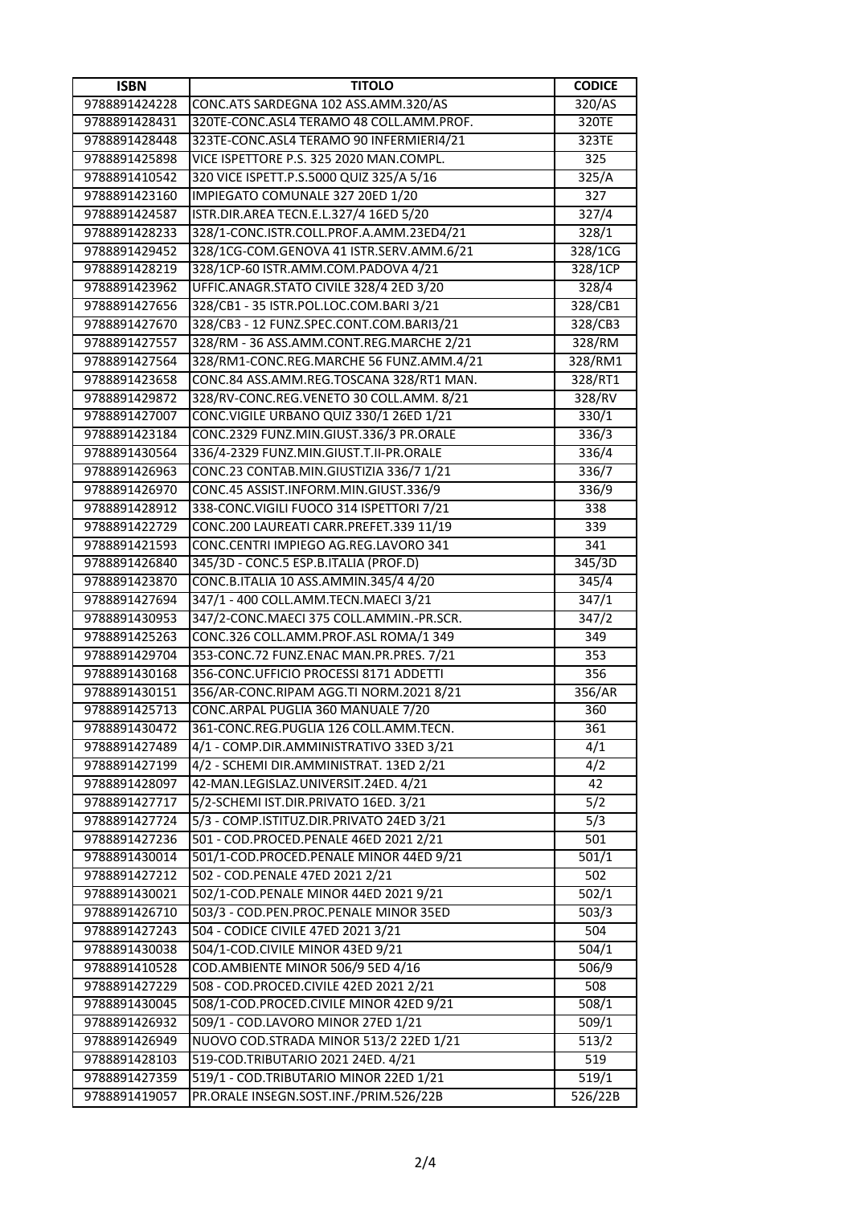| <b>ISBN</b>   | <b>TITOLO</b>                            | <b>CODICE</b>       |
|---------------|------------------------------------------|---------------------|
| 9788891424228 | CONC.ATS SARDEGNA 102 ASS.AMM.320/AS     | 320/AS              |
| 9788891428431 | 320TE-CONC.ASL4 TERAMO 48 COLL.AMM.PROF. | $\overline{320}$ TE |
| 9788891428448 | 323TE-CONC.ASL4 TERAMO 90 INFERMIERI4/21 | 323TE               |
| 9788891425898 | VICE ISPETTORE P.S. 325 2020 MAN.COMPL.  | 325                 |
| 9788891410542 | 320 VICE ISPETT.P.S.5000 QUIZ 325/A 5/16 | 325/A               |
| 9788891423160 | IMPIEGATO COMUNALE 327 20ED 1/20         | 327                 |
| 9788891424587 | ISTR.DIR.AREA TECN.E.L.327/4 16ED 5/20   | 327/4               |
| 9788891428233 | 328/1-CONC.ISTR.COLL.PROF.A.AMM.23ED4/21 | 328/1               |
| 9788891429452 | 328/1CG-COM.GENOVA 41 ISTR.SERV.AMM.6/21 | 328/1CG             |
| 9788891428219 | 328/1CP-60 ISTR.AMM.COM.PADOVA 4/21      | 328/1CP             |
| 9788891423962 | UFFIC.ANAGR.STATO CIVILE 328/4 2ED 3/20  | 328/4               |
| 9788891427656 | 328/CB1 - 35 ISTR.POL.LOC.COM.BARI 3/21  | 328/CB1             |
| 9788891427670 | 328/CB3 - 12 FUNZ.SPEC.CONT.COM.BARI3/21 | 328/CB3             |
| 9788891427557 | 328/RM - 36 ASS.AMM.CONT.REG.MARCHE 2/21 | 328/RM              |
| 9788891427564 | 328/RM1-CONC.REG.MARCHE 56 FUNZ.AMM.4/21 | 328/RM1             |
| 9788891423658 | CONC.84 ASS.AMM.REG.TOSCANA 328/RT1 MAN. | 328/RT1             |
| 9788891429872 | 328/RV-CONC.REG.VENETO 30 COLL.AMM. 8/21 | 328/RV              |
| 9788891427007 | CONC.VIGILE URBANO QUIZ 330/1 26ED 1/21  | 330/1               |
| 9788891423184 | CONC.2329 FUNZ.MIN.GIUST.336/3 PR.ORALE  | 336/3               |
| 9788891430564 | 336/4-2329 FUNZ.MIN.GIUST.T.II-PR.ORALE  | 336/4               |
| 9788891426963 | CONC.23 CONTAB.MIN.GIUSTIZIA 336/7 1/21  | 336/7               |
| 9788891426970 | CONC.45 ASSIST.INFORM.MIN.GIUST.336/9    | 336/9               |
| 9788891428912 | 338-CONC.VIGILI FUOCO 314 ISPETTORI 7/21 | 338                 |
| 9788891422729 | CONC.200 LAUREATI CARR.PREFET.339 11/19  | 339                 |
| 9788891421593 | CONC.CENTRI IMPIEGO AG.REG.LAVORO 341    | 341                 |
| 9788891426840 | 345/3D - CONC.5 ESP.B.ITALIA (PROF.D)    | 345/3D              |
| 9788891423870 | CONC.B.ITALIA 10 ASS.AMMIN.345/4 4/20    | 345/4               |
| 9788891427694 | 347/1 - 400 COLL.AMM.TECN.MAECI 3/21     | 347/1               |
| 9788891430953 | 347/2-CONC.MAECI 375 COLL.AMMIN.-PR.SCR. | 347/2               |
| 9788891425263 | CONC.326 COLL.AMM.PROF.ASL ROMA/1 349    | 349                 |
| 9788891429704 | 353-CONC.72 FUNZ.ENAC MAN.PR.PRES. 7/21  | 353                 |
| 9788891430168 | 356-CONC.UFFICIO PROCESSI 8171 ADDETTI   | 356                 |
| 9788891430151 | 356/AR-CONC.RIPAM AGG.TI NORM.2021 8/21  | 356/AR              |
| 9788891425713 | CONC.ARPAL PUGLIA 360 MANUALE 7/20       | 360                 |
| 9788891430472 | 361-CONC.REG.PUGLIA 126 COLL.AMM.TECN.   | 361                 |
| 9788891427489 | 4/1 - COMP.DIR.AMMINISTRATIVO 33ED 3/21  | 4/1                 |
| 9788891427199 | 4/2 - SCHEMI DIR.AMMINISTRAT. 13ED 2/21  | 4/2                 |
| 9788891428097 | 42-MAN.LEGISLAZ.UNIVERSIT.24ED. 4/21     | 42                  |
| 9788891427717 | 5/2-SCHEMI IST.DIR.PRIVATO 16ED. 3/21    | 5/2                 |
| 9788891427724 | 5/3 - COMP.ISTITUZ.DIR.PRIVATO 24ED 3/21 | $\overline{5/3}$    |
| 9788891427236 | 501 - COD.PROCED.PENALE 46ED 2021 2/21   | 501                 |
| 9788891430014 | 501/1-COD.PROCED.PENALE MINOR 44ED 9/21  | 501/1               |
| 9788891427212 | 502 - COD.PENALE 47ED 2021 2/21          | 502                 |
| 9788891430021 | 502/1-COD.PENALE MINOR 44ED 2021 9/21    | 502/1               |
| 9788891426710 | 503/3 - COD.PEN.PROC.PENALE MINOR 35ED   | 503/3               |
| 9788891427243 | 504 - CODICE CIVILE 47ED 2021 3/21       | 504                 |
| 9788891430038 | 504/1-COD.CIVILE MINOR 43ED 9/21         | 504/1               |
| 9788891410528 | COD.AMBIENTE MINOR 506/9 5ED 4/16        | 506/9               |
| 9788891427229 | 508 - COD.PROCED.CIVILE 42ED 2021 2/21   | 508                 |
| 9788891430045 | 508/1-COD.PROCED.CIVILE MINOR 42ED 9/21  | 508/1               |
| 9788891426932 | 509/1 - COD.LAVORO MINOR 27ED 1/21       | 509/1               |
| 9788891426949 | NUOVO COD.STRADA MINOR 513/2 22ED 1/21   | 513/2               |
| 9788891428103 | 519-COD.TRIBUTARIO 2021 24ED. 4/21       | 519                 |
| 9788891427359 | 519/1 - COD.TRIBUTARIO MINOR 22ED 1/21   | 519/1               |
| 9788891419057 | PR.ORALE INSEGN.SOST.INF./PRIM.526/22B   | 526/22B             |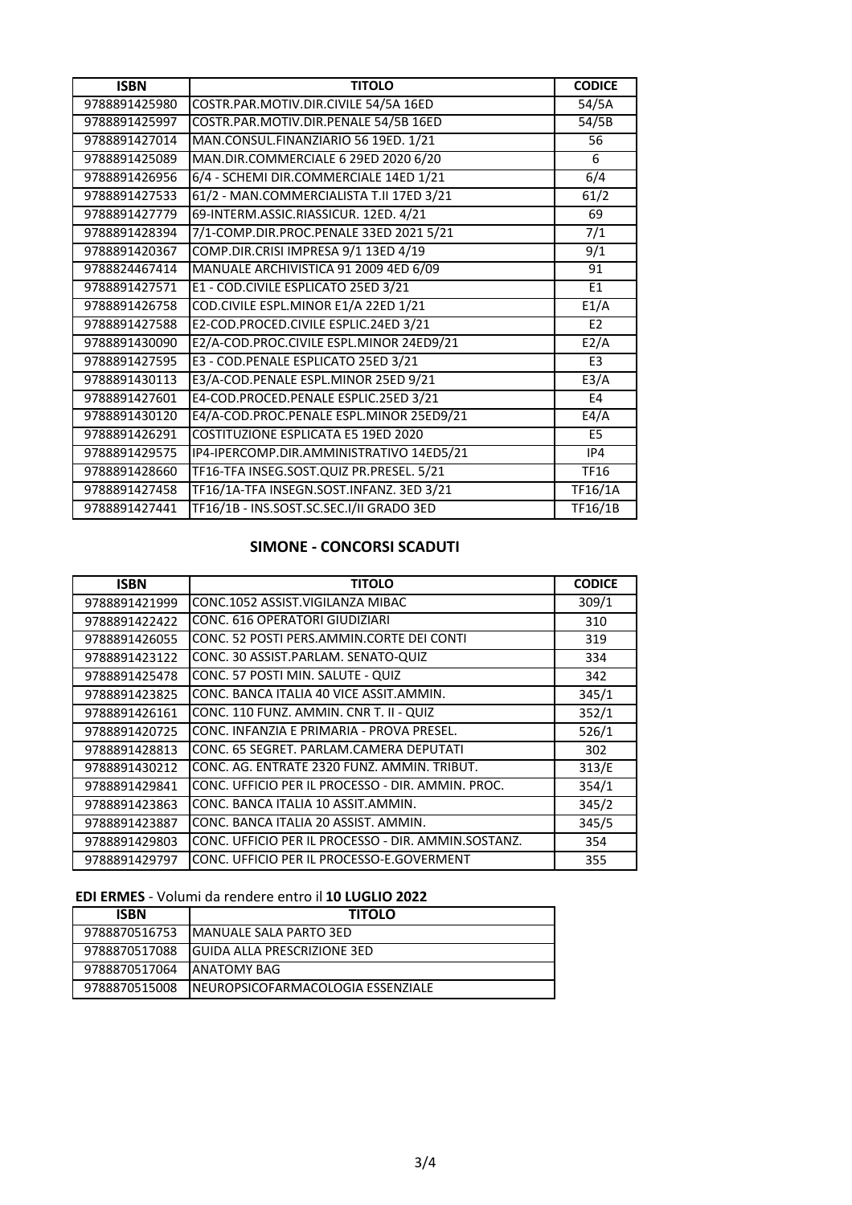| <b>ISBN</b>   | <b>TITOLO</b>                            | <b>CODICE</b>    |
|---------------|------------------------------------------|------------------|
| 9788891425980 | COSTR.PAR.MOTIV.DIR.CIVILE 54/5A 16ED    | 54/5A            |
| 9788891425997 | COSTR.PAR.MOTIV.DIR.PENALE 54/5B 16ED    | 54/5B            |
| 9788891427014 | MAN.CONSUL.FINANZIARIO 56 19ED. 1/21     | 56               |
| 9788891425089 | MAN.DIR.COMMERCIALE 6 29ED 2020 6/20     | 6                |
| 9788891426956 | 6/4 - SCHEMI DIR.COMMERCIALE 14ED 1/21   | 6/4              |
| 9788891427533 | 61/2 - MAN.COMMERCIALISTA T.II 17ED 3/21 | 61/2             |
| 9788891427779 | 69-INTERM.ASSIC.RIASSICUR. 12ED. 4/21    | 69               |
| 9788891428394 | 7/1-COMP.DIR.PROC.PENALE 33ED 2021 5/21  | $\overline{7/1}$ |
| 9788891420367 | COMP.DIR.CRISI IMPRESA 9/1 13ED 4/19     | 9/1              |
| 9788824467414 | MANUALE ARCHIVISTICA 91 2009 4ED 6/09    | 91               |
| 9788891427571 | E1 - COD.CIVILE ESPLICATO 25ED 3/21      | E <sub>1</sub>   |
| 9788891426758 | COD.CIVILE ESPL.MINOR E1/A 22ED 1/21     | E1/A             |
| 9788891427588 | E2-COD.PROCED.CIVILE ESPLIC.24ED 3/21    | E <sub>2</sub>   |
| 9788891430090 | E2/A-COD.PROC.CIVILE ESPL.MINOR 24ED9/21 | E2/A             |
| 9788891427595 | E3 - COD.PENALE ESPLICATO 25ED 3/21      | E3               |
| 9788891430113 | E3/A-COD.PENALE ESPL.MINOR 25ED 9/21     | E3/A             |
| 9788891427601 | E4-COD.PROCED.PENALE ESPLIC.25ED 3/21    | E4               |
| 9788891430120 | E4/A-COD.PROC.PENALE ESPL.MINOR 25ED9/21 | E4/A             |
| 9788891426291 | COSTITUZIONE ESPLICATA E5 19ED 2020      | E <sub>5</sub>   |
| 9788891429575 | IP4-IPERCOMP.DIR.AMMINISTRATIVO 14ED5/21 | IP4              |
| 9788891428660 | TF16-TFA INSEG.SOST.QUIZ PR.PRESEL. 5/21 | <b>TF16</b>      |
| 9788891427458 | TF16/1A-TFA INSEGN.SOST.INFANZ. 3ED 3/21 | TF16/1A          |
| 9788891427441 | TF16/1B - INS.SOST.SC.SEC.I/II GRADO 3ED | <b>TF16/1B</b>   |

# **SIMONE - CONCORSI SCADUTI**

| <b>ISBN</b>   | <b>TITOLO</b>                                       | <b>CODICE</b> |
|---------------|-----------------------------------------------------|---------------|
| 9788891421999 | CONC.1052 ASSIST.VIGILANZA MIBAC                    | 309/1         |
| 9788891422422 | <b>CONC. 616 OPERATORI GIUDIZIARI</b>               | 310           |
| 9788891426055 | CONC. 52 POSTI PERS.AMMIN.CORTE DEI CONTI           | 319           |
| 9788891423122 | CONC. 30 ASSIST.PARLAM. SENATO-QUIZ                 | 334           |
| 9788891425478 | CONC. 57 POSTI MIN. SALUTE - QUIZ                   | 342           |
| 9788891423825 | CONC. BANCA ITALIA 40 VICE ASSIT.AMMIN.             | 345/1         |
| 9788891426161 | CONC. 110 FUNZ. AMMIN. CNR T. II - QUIZ             | 352/1         |
| 9788891420725 | CONC. INFANZIA E PRIMARIA - PROVA PRESEL.           | 526/1         |
| 9788891428813 | CONC. 65 SEGRET. PARLAM.CAMERA DEPUTATI             | 302           |
| 9788891430212 | CONC. AG. ENTRATE 2320 FUNZ. AMMIN. TRIBUT.         | 313/E         |
| 9788891429841 | CONC. UFFICIO PER IL PROCESSO - DIR. AMMIN. PROC.   | 354/1         |
| 9788891423863 | CONC. BANCA ITALIA 10 ASSIT.AMMIN.                  | 345/2         |
| 9788891423887 | CONC. BANCA ITALIA 20 ASSIST. AMMIN.                | 345/5         |
| 9788891429803 | CONC. UFFICIO PER IL PROCESSO - DIR. AMMIN.SOSTANZ. | 354           |
| 9788891429797 | CONC. UFFICIO PER IL PROCESSO-E.GOVERMENT           | 355           |

# **EDI ERMES** - Volumi da rendere entro il **10 LUGLIO 2022**

| <b>ISBN</b>   | <b>TITOLO</b>                       |
|---------------|-------------------------------------|
| 9788870516753 | <b>IMANUALE SALA PARTO 3ED</b>      |
| 9788870517088 | <b>IGUIDA ALLA PRESCRIZIONE 3ED</b> |
| 9788870517064 | <b>JANATOMY BAG</b>                 |
| 9788870515008 | INEUROPSICOFARMACOLOGIA ESSENZIALE  |